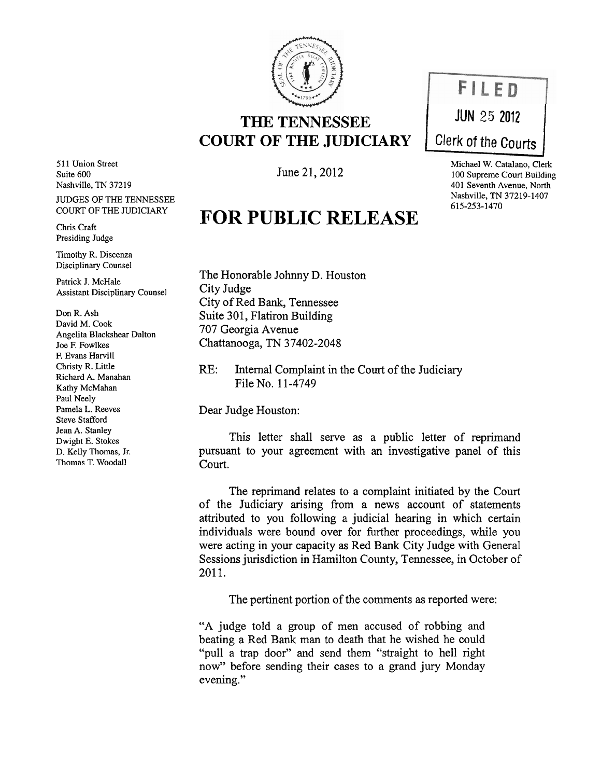

## **THE TENNESSEE COURT OF THE JUDICIARY**

June 21,2012

## **FOR PUBLIC RELEASE**



Michael W. Catalano, Clerk 100 Supreme Court Building 401 Seventh Avenue, North Nashville, TN 37219-1407 615-253-1470

The Honorable Johnny D. Houston City Judge City of Red Bank, Tennessee Suite 301, Flatiron Building 707 Georgia Avenue Chattanooga, TN 37402-2048

RE: Internal Complaint in the Court of the Judiciary File No. 11-4749

Dear Judge Houston:

This letter shall serve as a public letter of reprimand pursuant to your agreement with an investigative panel of this Court.

The reprimand relates to a complaint initiated by the Court of the Judiciary arising from a news account of statements attributed to you following a judicial hearing in which certain individuals were bound over for further proceedings, while you were acting in your capacity as Red Bank City Judge with General Sessions jurisdiction in Hamilton County, Tennessee, in October of 2011.

The pertinent portion of the comments as reported were:

"A judge told a group of men accused of robbing and beating a Red Bank man to death that he wished he could "pull a trap door" and send them "straight to hell right now" before sending their cases to a grand jury Monday evening."

511 Union Street Suite 600 Nashville, TN 37219 JUDGES OF THE TENNESSEE COURT OF THE JUDICIARY

Chris Craft Presiding Judge

Timothy R. Discenza Disciplinary Counsel

Patrick J. McHale Assistant Disciplinary Counsel

Don R. Ash David M. Cook Angelita Blackshear Dalton Joe F. Fowlkes F. Evans Harvill Christy R. Little Richard A. Manahan Kathy McMahan Paul Neely Pamela L. Reeves Steve Stafford Jean A. Stanley Dwight E. Stokes D. Kelly Thomas, Jr. Thomas T. Woodall